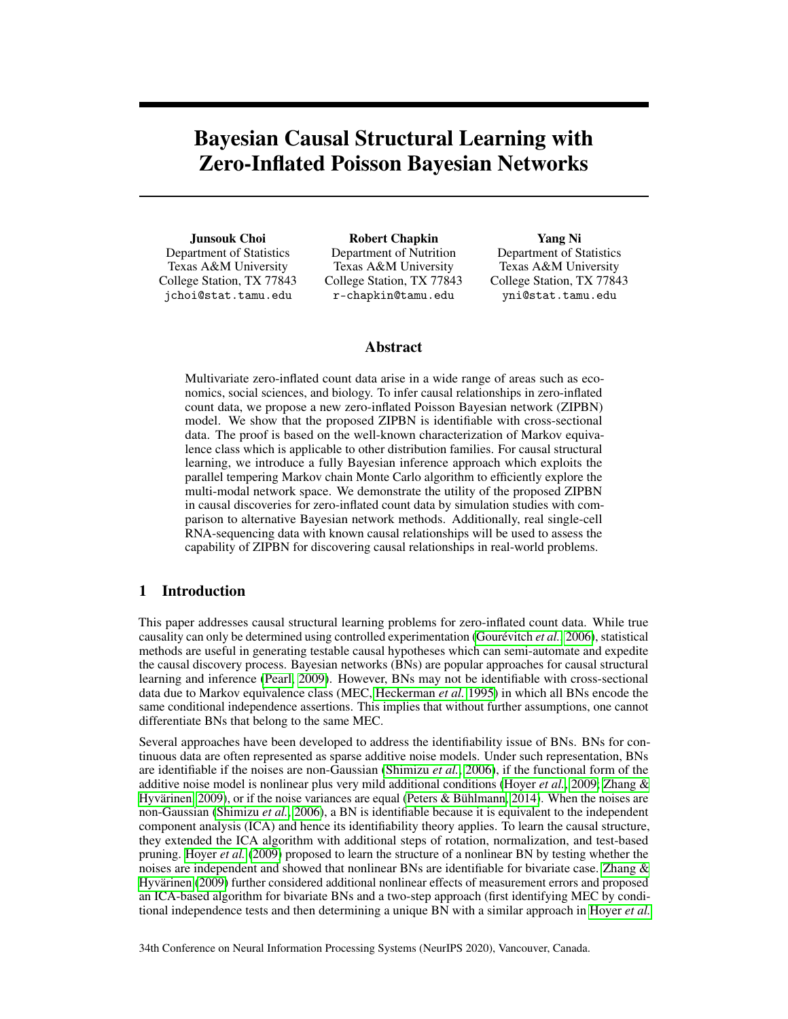# Bayesian Causal Structural Learning with Zero-Inflated Poisson Bayesian Networks

Junsouk Choi Department of Statistics Texas A&M University College Station, TX 77843 jchoi@stat.tamu.edu

Robert Chapkin Department of Nutrition Texas A&M University College Station, TX 77843 r-chapkin@tamu.edu

Yang Ni Department of Statistics Texas A&M University College Station, TX 77843 yni@stat.tamu.edu

## Abstract

Multivariate zero-inflated count data arise in a wide range of areas such as economics, social sciences, and biology. To infer causal relationships in zero-inflated count data, we propose a new zero-inflated Poisson Bayesian network (ZIPBN) model. We show that the proposed ZIPBN is identifiable with cross-sectional data. The proof is based on the well-known characterization of Markov equivalence class which is applicable to other distribution families. For causal structural learning, we introduce a fully Bayesian inference approach which exploits the parallel tempering Markov chain Monte Carlo algorithm to efficiently explore the multi-modal network space. We demonstrate the utility of the proposed ZIPBN in causal discoveries for zero-inflated count data by simulation studies with comparison to alternative Bayesian network methods. Additionally, real single-cell RNA-sequencing data with known causal relationships will be used to assess the capability of ZIPBN for discovering causal relationships in real-world problems.

## 1 Introduction

This paper addresses causal structural learning problems for zero-inflated count data. While true causality can only be determined using controlled experimentation (Gourévitch *et al.*, 2006), statistical methods are useful in generating testable causal hypotheses which can semi-automate and expedite the causal discovery process. Bayesian networks (BNs) are popular approaches for causal structural learning and inference (Pearl, 2009). However, BNs may not be identifiable with cross-sectional data due to Markov equivalence class (MEC, Heckerman *et al.* 1995) in which all BNs encode the same conditional independence assertions. This implies that without further assumptions, one cannot differentiate BNs that belong to the same MEC.

Several approaches have been developed to address the identifiability issue of BNs. BNs for continuous data are often represented as sparse additive noise models. Under such representation, BNs are identifiable if the noises are non-Gaussian (Shimizu *et al.*, 2006), if the functional form of the additive noise model is nonlinear plus very mild additional conditions (Hoyer *et al.*, 2009; Zhang & Hyvärinen, 2009), or if the noise variances are equal (Peters & Bühlmann, 2014). When the noises are non-Gaussian (Shimizu *et al.*, 2006), a BN is identifiable because it is equivalent to the independent component analysis (ICA) and hence its identifiability theory applies. To learn the causal structure, they extended the ICA algorithm with additional steps of rotation, normalization, and test-based pruning. Hoyer *et al.* (2009) proposed to learn the structure of a nonlinear BN by testing whether the noises are independent and showed that nonlinear BNs are identifiable for bivariate case. Zhang  $\&$ Hyvärinen (2009) further considered additional nonlinear effects of measurement errors and proposed an ICA-based algorithm for bivariate BNs and a two-step approach (first identifying MEC by conditional independence tests and then determining a unique BN with a similar approach in Hoyer *et al.*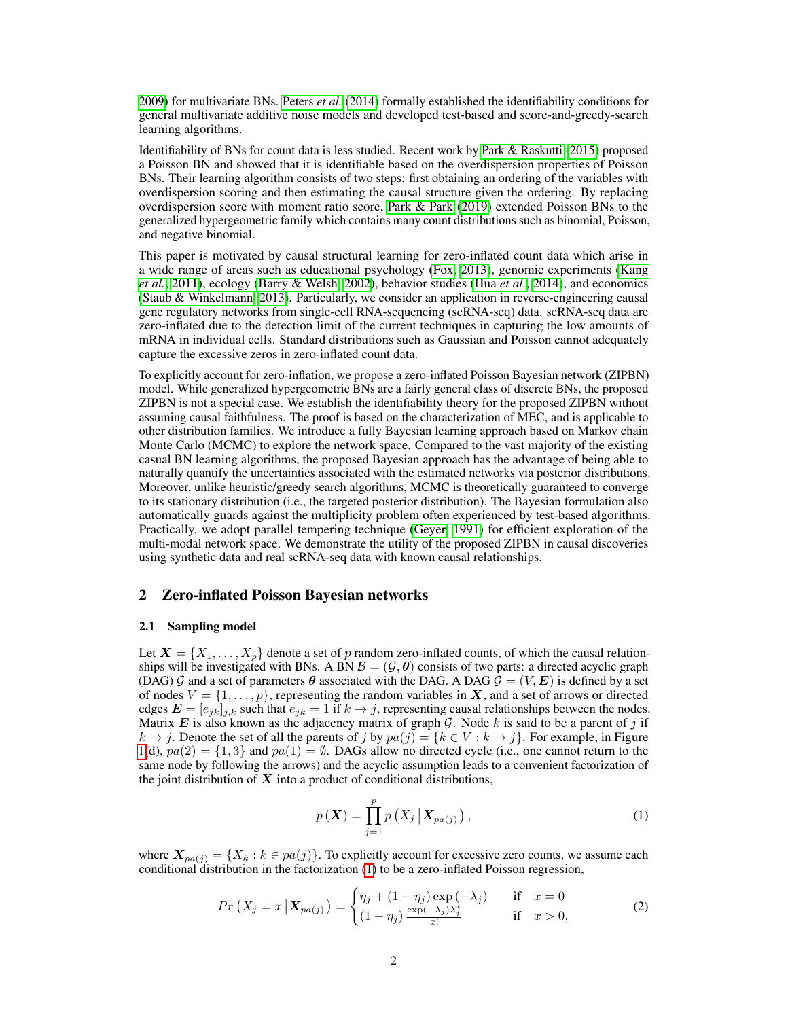2009) for multivariate BNs. Peters *et al.* (2014) formally established the identifiability conditions for general multivariate additive noise models and developed test-based and score-and-greedy-search learning algorithms.

Identifiability of BNs for count data is less studied. Recent work by **Park & Raskutti** (2015) proposed a Poisson BN and showed that it is identifiable based on the overdispersion properties of Poisson BNs. Their learning algorithm consists of two steps: first obtaining an ordering of the variables with overdispersion scoring and then estimating the causal structure given the ordering. By replacing overdispersion score with moment ratio score,  $\overline{Park} \& \overline{ Park}$  (2019) extended Poisson BNs to the generalized hypergeometric family which contains many count distributions such as binomial, Poisson, and negative binomial.

This paper is motivated by causal structural learning for zero-inflated count data which arise in a wide range of areas such as educational psychology (Fox, 2013), genomic experiments (Kang *et al.*, 2011), ecology (Barry & Welsh, 2002), behavior studies (Hua *et al.*, 2014), and economics (Staub & Winkelmann, 2013). Particularly, we consider an application in reverse-engineering causal gene regulatory networks from single-cell RNA-sequencing (scRNA-seq) data. scRNA-seq data are zero-inflated due to the detection limit of the current techniques in capturing the low amounts of mRNA in individual cells. Standard distributions such as Gaussian and Poisson cannot adequately capture the excessive zeros in zero-inflated count data.

To explicitly account for zero-inflation, we propose a zero-inflated Poisson Bayesian network (ZIPBN) model. While generalized hypergeometric BNs are a fairly general class of discrete BNs, the proposed ZIPBN is not a special case. We establish the identifiability theory for the proposed ZIPBN without assuming causal faithfulness. The proof is based on the characterization of MEC, and is applicable to other distribution families. We introduce a fully Bayesian learning approach based on Markov chain Monte Carlo (MCMC) to explore the network space. Compared to the vast majority of the existing casual BN learning algorithms, the proposed Bayesian approach has the advantage of being able to naturally quantify the uncertainties associated with the estimated networks via posterior distributions. Moreover, unlike heuristic/greedy search algorithms, MCMC is theoretically guaranteed to converge to its stationary distribution (i.e., the targeted posterior distribution). The Bayesian formulation also automatically guards against the multiplicity problem often experienced by test-based algorithms. Practically, we adopt parallel tempering technique (Geyer, 1991) for efficient exploration of the multi-modal network space. We demonstrate the utility of the proposed ZIPBN in causal discoveries using synthetic data and real scRNA-seq data with known causal relationships.

## 2 Zero-inflated Poisson Bayesian networks

#### 2.1 Sampling model

Let  $X = \{X_1, \ldots, X_p\}$  denote a set of *p* random zero-inflated counts, of which the causal relationships will be investigated with BNs. A BN  $\mathcal{B} = (\mathcal{G}, \theta)$  consists of two parts: a directed acyclic graph (DAG)  $G$  and a set of parameters  $\theta$  associated with the DAG. A DAG  $G = (V, E)$  is defined by a set of nodes  $V = \{1, \ldots, p\}$ , representing the random variables in **X**, and a set of arrows or directed edges  $\mathbf{E} = [e_{jk}]_{j,k}$  such that  $e_{jk} = 1$  if  $k \to j$ , representing causal relationships between the nodes. Matrix *E* is also known as the adjacency matrix of graph *G*. Node *k* is said to be a parent of *j* if  $k \rightarrow j$ . Denote the set of all the parents of *j* by  $pa(j) = \{k \in V : k \rightarrow j\}$ . For example, in Figure  $\Pi$ (d),  $pa(2) = \{1,3\}$  and  $pa(1) = \emptyset$ . DAGs allow no directed cycle (i.e., one cannot return to the same node by following the arrows) and the acyclic assumption leads to a convenient factorization of the joint distribution of  $X$  into a product of conditional distributions,

$$
p\left(\boldsymbol{X}\right) = \prod_{j=1}^{p} p\left(X_j \left| \boldsymbol{X}_{pa(j)}\right.\right),\tag{1}
$$

where  $X_{pa(j)} = \{X_k : k \in pa(j)\}$ . To explicitly account for excessive zero counts, we assume each conditional distribution in the factorization  $\Pi$  to be a zero-inflated Poisson regression,

$$
Pr(X_j = x | \mathbf{X}_{pa(j)}) = \begin{cases} \eta_j + (1 - \eta_j) \exp(-\lambda_j) & \text{if } x = 0\\ (1 - \eta_j) \frac{\exp(-\lambda_j)\lambda_j^x}{x!} & \text{if } x > 0, \end{cases}
$$
 (2)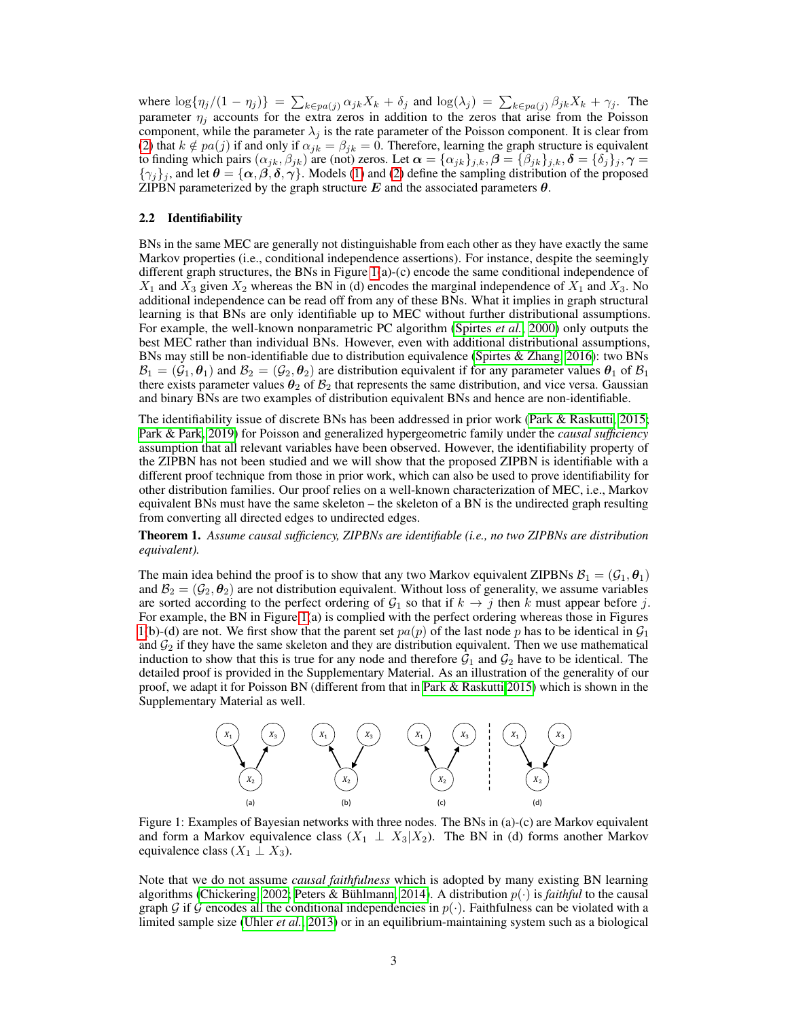where  $\log{\{\eta_j/(1-\eta_j)\}} = \sum_{k \in pa(j)} \alpha_{jk} X_k + \delta_j$  and  $\log(\lambda_j) = \sum_{k \in pa(j)} \beta_{jk} X_k + \gamma_j$ . The parameter  $\eta_i$  accounts for the extra zeros in addition to the zeros that arise from the Poisson component, while the parameter  $\lambda_j$  is the rate parameter of the Poisson component. It is clear from (2) that  $k \notin pa(j)$  if and only if  $\alpha_{jk} = \beta_{jk} = 0$ . Therefore, learning the graph structure is equivalent  $\overline{\text{to}}$  finding which pairs  $(\alpha_{jk}, \beta_{jk})$  are (not) zeros. Let  $\alpha = {\alpha_{jk}}_{j,k}, \beta = {\beta_{jk}}_{j,k}, \delta = {\delta_j}_{j}, \gamma = {\delta_j}$  ${\gamma_i}_j$ , and let  $\theta = {\alpha, \beta, \delta, \gamma}$ . Models (1) and (2) define the sampling distribution of the proposed ZIPBN parameterized by the graph structure  $E$  and the associated parameters  $\theta$ .

## 2.2 Identifiability

BNs in the same MEC are generally not distinguishable from each other as they have exactly the same Markov properties (i.e., conditional independence assertions). For instance, despite the seemingly different graph structures, the BNs in Figure  $\prod(a)$ -(c) encode the same conditional independence of  $X_1$  and  $X_3$  given  $X_2$  whereas the BN in (d) encodes the marginal independence of  $X_1$  and  $X_3$ . No additional independence can be read off from any of these BNs. What it implies in graph structural learning is that BNs are only identifiable up to MEC without further distributional assumptions. For example, the well-known nonparametric PC algorithm (Spirtes *et al.*, 2000) only outputs the best MEC rather than individual BNs. However, even with additional distributional assumptions, BNs may still be non-identifiable due to distribution equivalence  $(S$ pirtes & Zhang,  $2016$ ): two BNs  $B_1 = (\mathcal{G}_1, \theta_1)$  and  $B_2 = (\mathcal{G}_2, \theta_2)$  are distribution equivalent if for any parameter values  $\theta_1$  of  $B_1$ there exists parameter values  $\theta_2$  of  $\mathcal{B}_2$  that represents the same distribution, and vice versa. Gaussian and binary BNs are two examples of distribution equivalent BNs and hence are non-identifiable.

The identifiability issue of discrete BNs has been addressed in prior work (Park & Raskutti,  $2015$ ; Park & Park, 2019) for Poisson and generalized hypergeometric family under the *causal sufficiency* assumption that all relevant variables have been observed. However, the identifiability property of the ZIPBN has not been studied and we will show that the proposed ZIPBN is identifiable with a different proof technique from those in prior work, which can also be used to prove identifiability for other distribution families. Our proof relies on a well-known characterization of MEC, i.e., Markov equivalent BNs must have the same skeleton – the skeleton of a BN is the undirected graph resulting from converting all directed edges to undirected edges.

Theorem 1. *Assume causal sufficiency, ZIPBNs are identifiable (i.e., no two ZIPBNs are distribution equivalent).*

The main idea behind the proof is to show that any two Markov equivalent ZIPBNs  $B_1 = (\mathcal{G}_1, \theta_1)$ and  $\mathcal{B}_2 = (\mathcal{G}_2, \mathcal{B}_2)$  are not distribution equivalent. Without loss of generality, we assume variables are sorted according to the perfect ordering of  $G_1$  so that if  $k \to j$  then k must appear before j. For example, the BN in Figure  $\Pi$  a) is complied with the perfect ordering whereas those in Figures  $1(b)$ -(d) are not. We first show that the parent set  $pa(p)$  of the last node p has to be identical in  $G_1$ and  $\mathcal{G}_2$  if they have the same skeleton and they are distribution equivalent. Then we use mathematical induction to show that this is true for any node and therefore  $G_1$  and  $G_2$  have to be identical. The detailed proof is provided in the Supplementary Material. As an illustration of the generality of our proof, we adapt it for Poisson BN (different from that in  $\text{Park} \& \text{Raskutti} \& 2015$ ) which is shown in the Supplementary Material as well.



Figure 1: Examples of Bayesian networks with three nodes. The BNs in (a)-(c) are Markov equivalent and form a Markov equivalence class  $(X_1 \perp X_3 | X_2)$ . The BN in (d) forms another Markov equivalence class  $(X_1 \perp X_3)$ .

Note that we do not assume *causal faithfulness* which is adopted by many existing BN learning algorithms (Chickering, 2002; Peters & Bühlmann, 2014). A distribution *p*(*·*) is *faithful* to the causal graph *G* if  $\tilde{G}$  encodes all the conditional independencies in  $p(\cdot)$ . Faithfulness can be violated with a limited sample size (Uhler *et al.*, 2013) or in an equilibrium-maintaining system such as a biological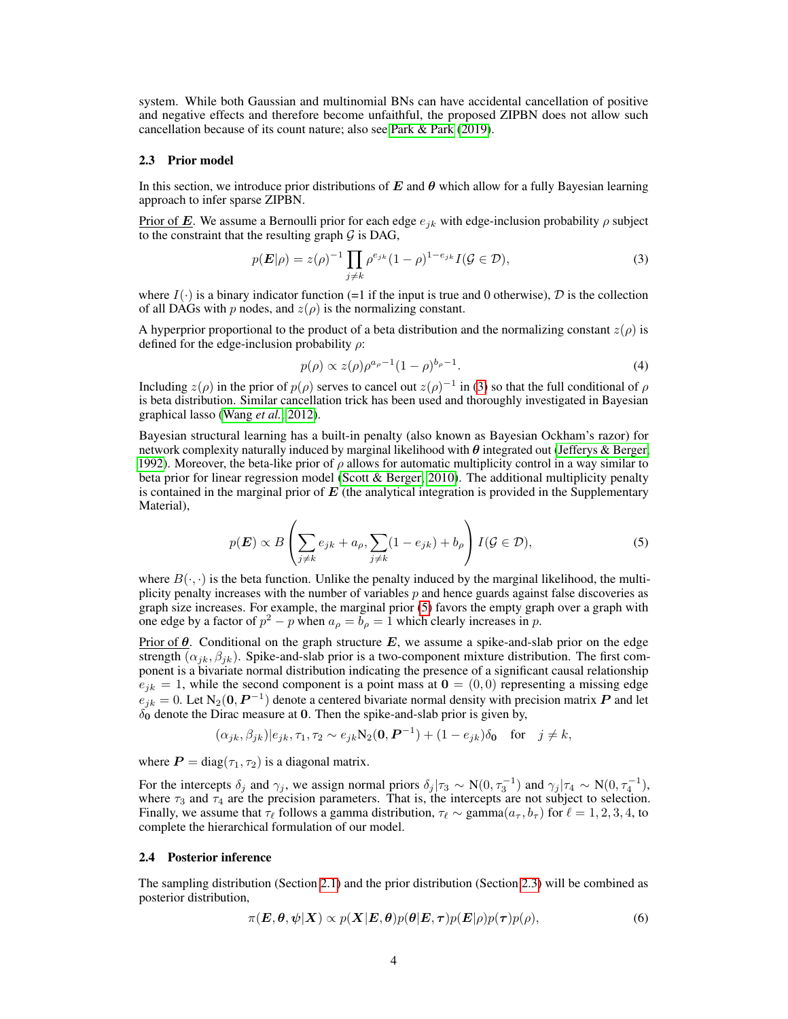system. While both Gaussian and multinomial BNs can have accidental cancellation of positive and negative effects and therefore become unfaithful, the proposed ZIPBN does not allow such cancellation because of its count nature; also see Park & Park (2019).

#### 2.3 Prior model

In this section, we introduce prior distributions of  $E$  and  $\theta$  which allow for a fully Bayesian learning approach to infer sparse ZIPBN.

Prior of *E*. We assume a Bernoulli prior for each edge  $e_{jk}$  with edge-inclusion probability  $\rho$  subject to the constraint that the resulting graph  $G$  is DAG,

$$
p(E|\rho) = z(\rho)^{-1} \prod_{j \neq k} \rho^{e_{jk}} (1 - \rho)^{1 - e_{jk}} I(\mathcal{G} \in \mathcal{D}),
$$
\n(3)

where  $I(\cdot)$  is a binary indicator function (=1 if the input is true and 0 otherwise),  $D$  is the collection of all DAGs with *p* nodes, and  $z(\rho)$  is the normalizing constant.

A hyperprior proportional to the product of a beta distribution and the normalizing constant  $z(\rho)$  is defined for the edge-inclusion probability  $\rho$ :

$$
p(\rho) \propto z(\rho)\rho^{a_{\rho}-1}(1-\rho)^{b_{\rho}-1}.
$$
 (4)

Including  $z(\rho)$  in the prior of  $p(\rho)$  serves to cancel out  $z(\rho)^{-1}$  in  $\beta$  so that the full conditional of  $\rho$ is beta distribution. Similar cancellation trick has been used and thoroughly investigated in Bayesian graphical lasso (Wang *et al.*, 2012).

Bayesian structural learning has a built-in penalty (also known as Bayesian Ockham's razor) for network complexity naturally induced by marginal likelihood with  $\theta$  integrated out (Jefferys & Berger) 1992). Moreover, the beta-like prior of  $\rho$  allows for automatic multiplicity control in a way similar to beta prior for linear regression model  $\overline{\text{Scott & Berger}}$  2010). The additional multiplicity penalty is contained in the marginal prior of *E* (the analytical integration is provided in the Supplementary Material),

$$
p(E) \propto B\left(\sum_{j \neq k} e_{jk} + a_{\rho}, \sum_{j \neq k} (1 - e_{jk}) + b_{\rho}\right) I(\mathcal{G} \in \mathcal{D}),\tag{5}
$$

where  $B(\cdot, \cdot)$  is the beta function. Unlike the penalty induced by the marginal likelihood, the multiplicity penalty increases with the number of variables *p* and hence guards against false discoveries as graph size increases. For example, the marginal prior  $\binom{5}{2}$  favors the empty graph over a graph with one edge by a factor of  $p^2 - p$  when  $a_\rho = b_\rho = 1$  which clearly increases in p.

Prior of  $\theta$ . Conditional on the graph structure  $E$ , we assume a spike-and-slab prior on the edge strength  $(\alpha_{jk}, \beta_{jk})$ . Spike-and-slab prior is a two-component mixture distribution. The first component is a bivariate normal distribution indicating the presence of a significant causal relationship  $e_{jk} = 1$ , while the second component is a point mass at  $\mathbf{0} = (0,0)$  representing a missing edge  $e_{jk} = 0$ . Let N<sub>2</sub>(0*, P*<sup>-1</sup>) denote a centered bivariate normal density with precision matrix *P* and let  $\delta_0$  denote the Dirac measure at 0. Then the spike-and-slab prior is given by,

$$
(\alpha_{jk},\beta_{jk})|e_{jk},\tau_1,\tau_2\sim e_{jk}\mathbf{N}_2(\mathbf{0},\boldsymbol{P}^{-1})+(1-e_{jk})\delta_{\mathbf{0}}\quad\text{for}\quad j\neq k,
$$

where  $P = \text{diag}(\tau_1, \tau_2)$  is a diagonal matrix.

For the intercepts  $\delta_j$  and  $\gamma_j$ , we assign normal priors  $\delta_j | \tau_3 \sim N(0, \tau_3^{-1})$  and  $\gamma_j | \tau_4 \sim N(0, \tau_4^{-1})$ , where  $\tau_3$  and  $\tau_4$  are the precision parameters. That is, the intercepts are not subject to selection. Finally, we assume that  $\tau_\ell$  follows a gamma distribution,  $\tau_\ell \sim \text{gamma}(a_\tau, b_\tau)$  for  $\ell = 1, 2, 3, 4$ , to complete the hierarchical formulation of our model.

#### 2.4 Posterior inference

The sampling distribution (Section  $\overline{2.1}$ ) and the prior distribution (Section  $\overline{2.3}$ ) will be combined as posterior distribution,

$$
\pi(\boldsymbol{E}, \boldsymbol{\theta}, \boldsymbol{\psi} | \boldsymbol{X}) \propto p(\boldsymbol{X} | \boldsymbol{E}, \boldsymbol{\theta}) p(\boldsymbol{\theta} | \boldsymbol{E}, \boldsymbol{\tau}) p(\boldsymbol{E} | \rho) p(\boldsymbol{\tau}) p(\rho), \tag{6}
$$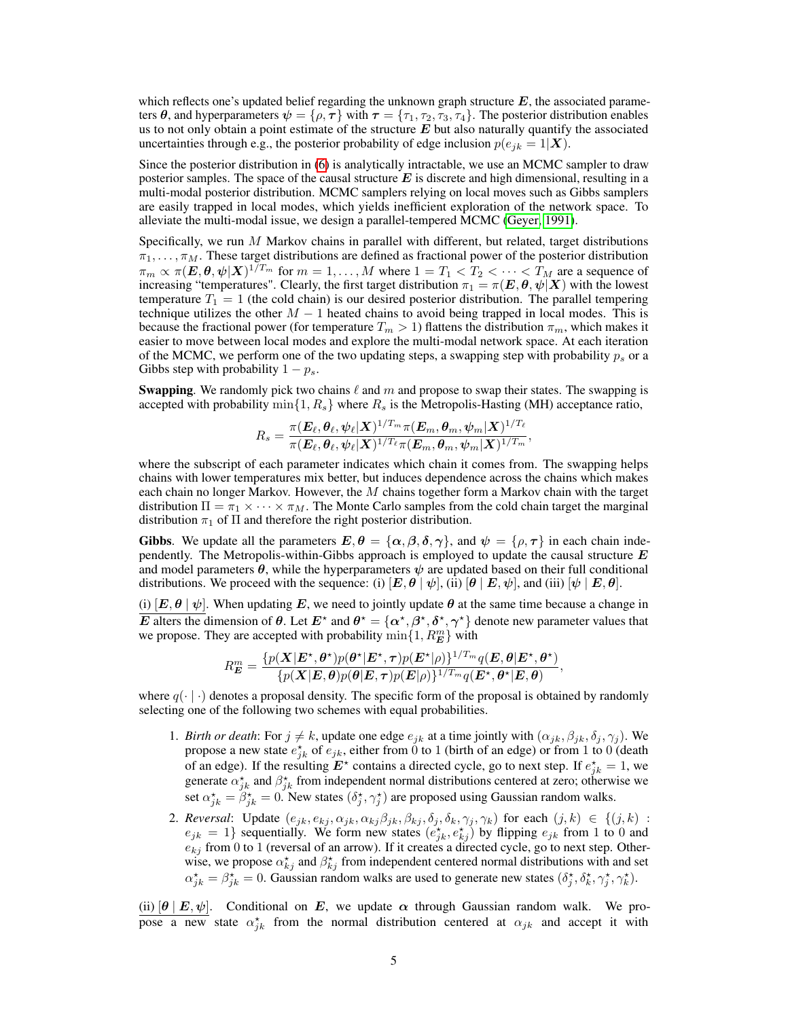which reflects one's updated belief regarding the unknown graph structure E, the associated parameters  $\theta$ , and hyperparameters  $\psi = \{\rho, \tau\}$  with  $\tau = \{\tau_1, \tau_2, \tau_3, \tau_4\}$ . The posterior distribution enables us to not only obtain a point estimate of the structure *E* but also naturally quantify the associated uncertainties through e.g., the posterior probability of edge inclusion  $p(e_{ik} = 1|\mathbf{X})$ .

Since the posterior distribution in  $\overline{6}$  is analytically intractable, we use an MCMC sampler to draw posterior samples. The space of the causal structure *E* is discrete and high dimensional, resulting in a multi-modal posterior distribution. MCMC samplers relying on local moves such as Gibbs samplers are easily trapped in local modes, which yields inefficient exploration of the network space. To alleviate the multi-modal issue, we design a parallel-tempered MCMC (Geyer, 1991).

Specifically, we run *M* Markov chains in parallel with different, but related, target distributions  $\pi_1, \ldots, \pi_M$ . These target distributions are defined as fractional power of the posterior distribution  $\pi_m \propto \pi(E, \theta, \psi|X)^{1/T_m}$  for  $m = 1, \ldots, M$  where  $1 = T_1 < T_2 < \cdots < T_M$  are a sequence of increasing "temperatures". Clearly, the first target distribution  $\pi_1 = \pi(E, \theta, \psi|X)$  with the lowest temperature  $T_1 = 1$  (the cold chain) is our desired posterior distribution. The parallel tempering technique utilizes the other  $M - 1$  heated chains to avoid being trapped in local modes. This is because the fractional power (for temperature  $T_m > 1$ ) flattens the distribution  $\pi_m$ , which makes it easier to move between local modes and explore the multi-modal network space. At each iteration of the MCMC, we perform one of the two updating steps, a swapping step with probability  $p<sub>s</sub>$  or a Gibbs step with probability  $1 - p_s$ .

**Swapping.** We randomly pick two chains  $\ell$  and  $m$  and propose to swap their states. The swapping is accepted with probability min*{*1*, Rs}* where *R<sup>s</sup>* is the Metropolis-Hasting (MH) acceptance ratio,

$$
R_s=\frac{\pi(\boldsymbol{E}_\ell,\boldsymbol{\theta}_\ell,\boldsymbol{\psi}_\ell|\boldsymbol{X})^{1/T_m}\pi(\boldsymbol{E}_m,\boldsymbol{\theta}_m,\boldsymbol{\psi}_m|\boldsymbol{X})^{1/T_\ell}}{\pi(\boldsymbol{E}_\ell,\boldsymbol{\theta}_\ell,\boldsymbol{\psi}_\ell|\boldsymbol{X})^{1/T_\ell}\pi(\boldsymbol{E}_m,\boldsymbol{\theta}_m,\boldsymbol{\psi}_m|\boldsymbol{X})^{1/T_m}},
$$

where the subscript of each parameter indicates which chain it comes from. The swapping helps chains with lower temperatures mix better, but induces dependence across the chains which makes each chain no longer Markov. However, the *M* chains together form a Markov chain with the target distribution  $\Pi = \pi_1 \times \cdots \times \pi_M$ . The Monte Carlo samples from the cold chain target the marginal distribution  $\pi_1$  of  $\Pi$  and therefore the right posterior distribution.

Gibbs. We update all the parameters  $E, \theta = {\alpha, \beta, \delta, \gamma}$ , and  $\psi = {\rho, \tau}$  in each chain independently. The Metropolis-within-Gibbs approach is employed to update the causal structure *E* and model parameters  $\theta$ , while the hyperparameters  $\psi$  are updated based on their full conditional distributions. We proceed with the sequence: (i)  $[E, \theta \mid \psi]$ , (ii)  $[\theta \mid E, \psi]$ , and (iii)  $[\psi \mid E, \theta]$ .

(i)  $[E, \theta | \psi]$ . When updating *E*, we need to jointly update  $\theta$  at the same time because a change in *E* alters the dimension of  $\theta$ . Let  $E^*$  and  $\theta^* = {\alpha^*, \beta^*, \delta^*, \gamma^*}$  denote new parameter values that we propose. They are accepted with probability  $\min\{1, R_E^m\}$  with

$$
R_{\boldsymbol{E}}^{m} = \frac{\{p(\boldsymbol{X}|\boldsymbol{E}^{\star},\boldsymbol{\theta}^{\star})p(\boldsymbol{\theta}^{\star}|\boldsymbol{E}^{\star},\boldsymbol{\tau})p(\boldsymbol{E}^{\star}|\rho)\}^{1/T_{m}}q(\boldsymbol{E},\boldsymbol{\theta}|\boldsymbol{E}^{\star},\boldsymbol{\theta}^{\star})}{\{p(\boldsymbol{X}|\boldsymbol{E},\boldsymbol{\theta})p(\boldsymbol{\theta}|\boldsymbol{E},\boldsymbol{\tau})p(\boldsymbol{E}|\rho)\}^{1/T_{m}}q(\boldsymbol{E}^{\star},\boldsymbol{\theta}^{\star}|\boldsymbol{E},\boldsymbol{\theta})},
$$

where  $q(\cdot|\cdot)$  denotes a proposal density. The specific form of the proposal is obtained by randomly selecting one of the following two schemes with equal probabilities.

- 1. *Birth or death*: For  $j \neq k$ , update one edge  $e_{jk}$  at a time jointly with  $(\alpha_{jk}, \beta_{jk}, \delta_j, \gamma_j)$ . We propose a new state  $e^*_{jk}$  of  $e_{jk}$ , either from 0 to 1 (birth of an edge) or from 1 to 0 (death of an edge). If the resulting  $E^*$  contains a directed cycle, go to next step. If  $e_{jk}^* = 1$ , we generate  $\alpha_{jk}^*$  and  $\beta_{jk}^*$  from independent normal distributions centered at zero; otherwise we set  $\alpha_{jk}^* = \beta_{jk}^* = 0$ . New states  $(\delta_j^*, \gamma_j^*)$  are proposed using Gaussian random walks.
- 2. Reversal: Update  $(e_{jk}, e_{kj}, \alpha_{jk}, \alpha_{kj}\beta_{jk}, \beta_{kj}, \delta_j, \delta_k, \gamma_j, \gamma_k)$  for each  $(j, k) \in \{(j, k) :$  $e_{jk} = 1$ } sequentially. We form new states  $(e_{jk}^{\star}, e_{kj}^{\star})$  by flipping  $e_{jk}$  from 1 to 0 and *ekj* from 0 to 1 (reversal of an arrow). If it creates a directed cycle, go to next step. Otherwise, we propose  $\alpha_{kj}^*$  and  $\beta_{kj}^*$  from independent centered normal distributions with and set  $\alpha_{jk}^* = \beta_{jk}^* = 0$ . Gaussian random walks are used to generate new states  $(\delta_j^*, \delta_k^*, \gamma_j^*, \gamma_k^*)$ .

(ii)  $[\theta | E, \psi]$ . Conditional on E, we update  $\alpha$  through Gaussian random walk. We propose a new state  $\alpha_{jk}^*$  from the normal distribution centered at  $\alpha_{jk}$  and accept it with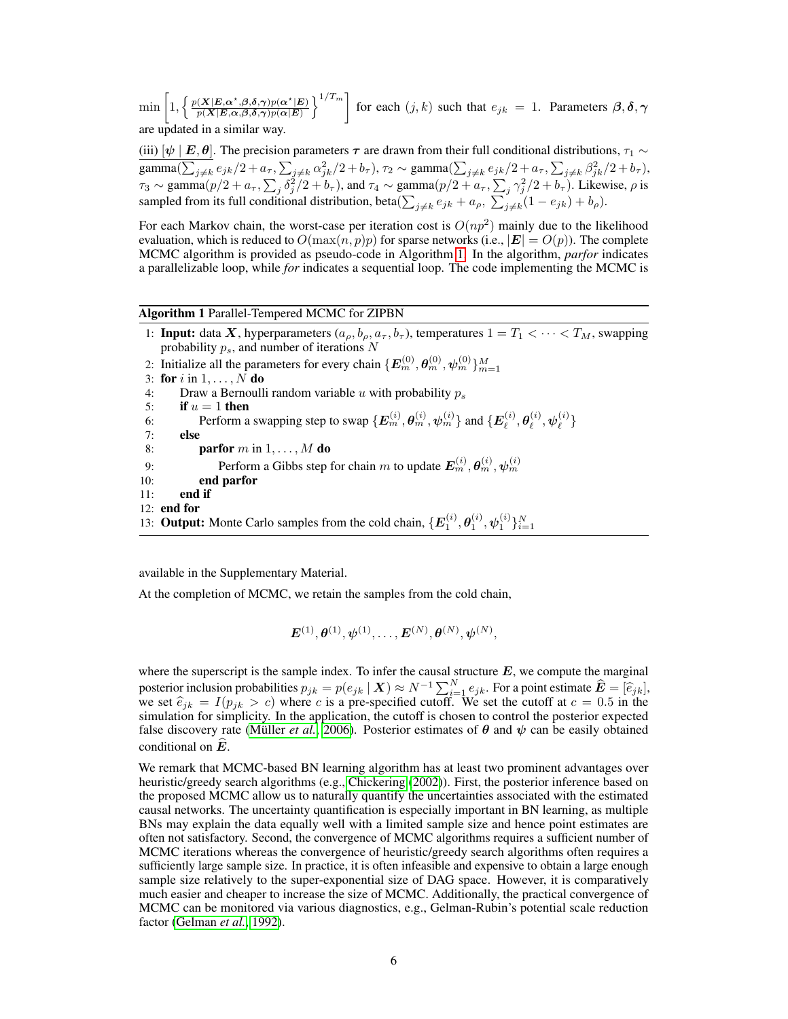$\min \left[ 1, \left\{ \frac{p(X|E, \alpha^*, \beta, \delta, \gamma)p(\alpha^*|E)}{p(X|E, \alpha, \beta, \delta, \gamma)p(\alpha^*|E)} \right\} \right]$  $p(\mathbf{X}|\mathbf{E}, \boldsymbol{\alpha}, \boldsymbol{\beta}, \boldsymbol{\delta}, \boldsymbol{\gamma})p(\boldsymbol{\alpha}|\mathbf{E})$  $\lambda^{1/T_m}$ for each  $(j, k)$  such that  $e_{jk} = 1$ . Parameters  $\beta, \delta, \gamma$ are updated in a similar way.

(iii)  $[\psi \mid E, \theta]$ . The precision parameters  $\tau$  are drawn from their full conditional distributions,  $\tau_1 \sim$ gamma $(\sum_{j\neq k}e_{jk}/2+a_\tau,\sum_{j\neq k}\alpha_{jk}^2/2+b_\tau), \tau_2 \sim$ gamma $(\sum_{j\neq k}e_{jk}/2+a_\tau,\sum_{j\neq k}\beta_{jk}^2/2+b_\tau),$  $\tau_3 \sim \text{gamma}(p/2 + a_\tau, \sum_j \delta_j^2/2 + b_\tau)$ , and  $\tau_4 \sim \text{gamma}(p/2 + a_\tau, \sum_j \gamma_j^2/2 + b_\tau)$ . Likewise,  $\rho$  is sampled from its full conditional distribution, beta $(\sum_{j\neq k}e_{jk} + a_\rho, \sum_{j\neq k}^s(1 - e_{jk}) + b_\rho)$ .

For each Markov chain, the worst-case per iteration cost is  $O(np^2)$  mainly due to the likelihood evaluation, which is reduced to  $O(\max(n, p)p)$  for sparse networks (i.e.,  $|\mathbf{E}| = O(p)$ ). The complete MCMC algorithm is provided as pseudo-code in Algorithm <sup>1</sup>. In the algorithm, *parfor* indicates a parallelizable loop, while *for* indicates a sequential loop. The code implementing the MCMC is

Algorithm 1 Parallel-Tempered MCMC for ZIPBN

1: **Input:** data *X*, hyperparameters  $(a_{\rho}, b_{\rho}, a_{\tau}, b_{\tau})$ , temperatures  $1 = T_1 < \cdots < T_M$ , swapping probability *ps*, and number of iterations *N*

- 2: Initialize all the parameters for every chain  $\{E_m^{(0)}, \theta_m^{(0)}, \psi_m^{(0)}\}_{m=1}^M$
- 3: for *i* in 1*,...,N* do
- 4: Draw a Bernoulli random variable *u* with probability *p<sup>s</sup>* 5: if  $u = 1$  then
- 6: Perform a swapping step to swap  $\{E_m^{(i)}, \theta_m^{(i)}, \psi_m^{(i)}\}$  and  $\{E_\ell^{(i)}, \theta_\ell^{(i)}, \psi_\ell^{(i)}\}$
- 7: else
- 8: **parfor** *m* in  $1, \ldots, M$  do
- 9: Perform a Gibbs step for chain *m* to update  $E_m^{(i)}$ ,  $\theta_m^{(i)}$ ,  $\psi_m^{(i)}$
- 10: end parfor
- 11: end if
- 12: end for

13: **Output:** Monte Carlo samples from the cold chain,  $\{E_1^{(i)}, \theta_1^{(i)}, \psi_1^{(i)}\}_{i=1}^N$ 

available in the Supplementary Material.

At the completion of MCMC, we retain the samples from the cold chain,

$$
\boldsymbol{E}^{(1)}, \boldsymbol{\theta}^{(1)}, \boldsymbol{\psi}^{(1)}, \ldots, \boldsymbol{E}^{(N)}, \boldsymbol{\theta}^{(N)}, \boldsymbol{\psi}^{(N)},
$$

where the superscript is the sample index. To infer the causal structure  $E$ , we compute the marginal posterior inclusion probabilities  $p_{jk} = p(e_{jk} | \mathbf{X}) \approx N^{-1} \sum_{i=1}^{N} e_{jk}$ . For a point estimate  $\hat{\mathbf{E}} = [\hat{e}_{jk}]$ , we set  $\hat{e}_k = I(e_{jk})$ , where  $e_{jk}$  is a programating out of  $\hat{e}_k$  and the outoff at  $e = 0.5$  in the we set  $\hat{e}_{jk} = I(p_{jk} > c)$  where *c* is a pre-specified cutoff. We set the cutoff at  $c = 0.5$  in the simulation for simulation. In the application, the surfit is aboven to control the posterior expected simulation for simplicity. In the application, the cutoff is chosen to control the posterior expected false discovery rate (Müller *et al.*, 2006). Posterior estimates of  $\theta$  and  $\psi$  can be easily obtained conditional on  $\tilde{E}$ .

We remark that MCMC-based BN learning algorithm has at least two prominent advantages over heuristic/greedy search algorithms (e.g.,  $\boxed{\text{Chicago(2002)}}$ ). First, the posterior inference based on the proposed MCMC allow us to naturally quantify the uncertainties associated with the estimated causal networks. The uncertainty quantification is especially important in BN learning, as multiple BNs may explain the data equally well with a limited sample size and hence point estimates are often not satisfactory. Second, the convergence of MCMC algorithms requires a sufficient number of MCMC iterations whereas the convergence of heuristic/greedy search algorithms often requires a sufficiently large sample size. In practice, it is often infeasible and expensive to obtain a large enough sample size relatively to the super-exponential size of DAG space. However, it is comparatively much easier and cheaper to increase the size of MCMC. Additionally, the practical convergence of MCMC can be monitored via various diagnostics, e.g., Gelman-Rubin's potential scale reduction factor (Gelman *et al.*, 1992).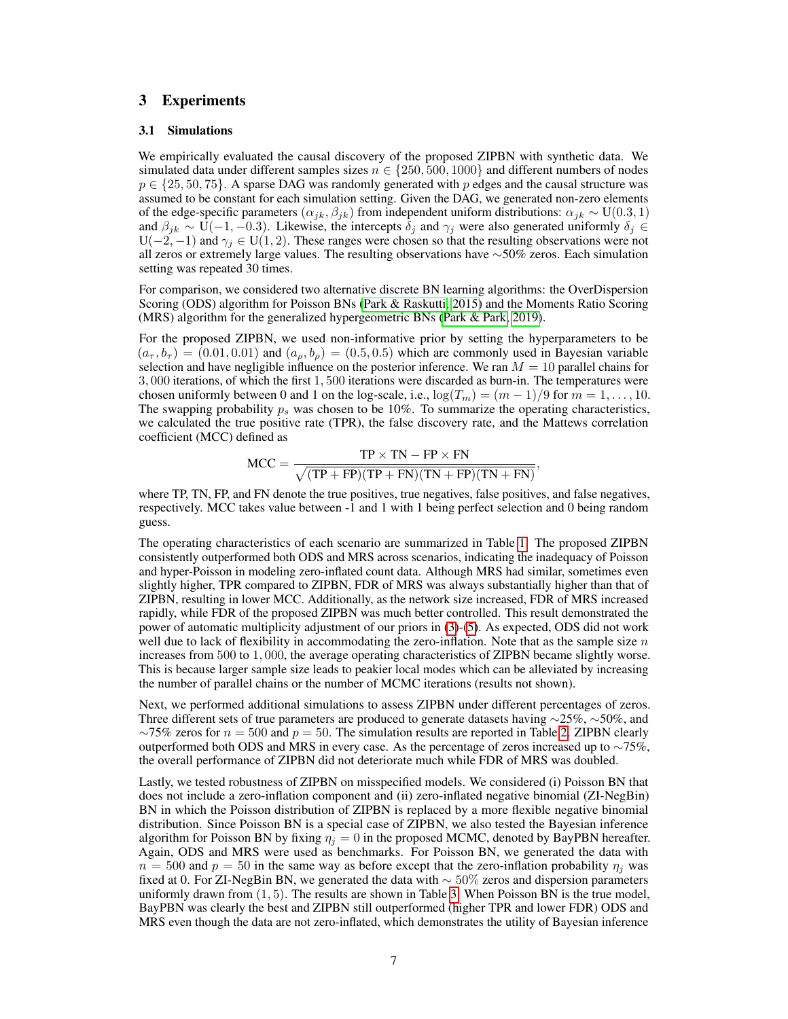## 3 Experiments

### 3.1 Simulations

We empirically evaluated the causal discovery of the proposed ZIPBN with synthetic data. We simulated data under different samples sizes  $n \in \{250, 500, 1000\}$  and different numbers of nodes  $p \in \{25, 50, 75\}$ . A sparse DAG was randomly generated with *p* edges and the causal structure was assumed to be constant for each simulation setting. Given the DAG, we generated non-zero elements of the edge-specific parameters  $(\alpha_{jk}, \beta_{jk})$  from independent uniform distributions:  $\alpha_{jk} \sim U(0.3, 1)$ and  $\beta_{jk} \sim U(-1, -0.3)$ . Likewise, the intercepts  $\delta_j$  and  $\gamma_j$  were also generated uniformly  $\delta_j \in$  $U(-2, -1)$  and  $\gamma_i \in U(1, 2)$ . These ranges were chosen so that the resulting observations were not all zeros or extremely large values. The resulting observations have  $\sim$ 50% zeros. Each simulation setting was repeated 30 times.

For comparison, we considered two alternative discrete BN learning algorithms: the OverDispersion Scoring (ODS) algorithm for Poisson BNs (Park & Raskutti, 2015) and the Moments Ratio Scoring (MRS) algorithm for the generalized hypergeometric BNs (Park & Park, 2019).

For the proposed ZIPBN, we used non-informative prior by setting the hyperparameters to be  $(a_{\tau}, b_{\tau}) = (0.01, 0.01)$  and  $(a_{\rho}, b_{\rho}) = (0.5, 0.5)$  which are commonly used in Bayesian variable selection and have negligible influence on the posterior inference. We ran  $M = 10$  parallel chains for 3*,* 000 iterations, of which the first 1*,* 500 iterations were discarded as burn-in. The temperatures were chosen uniformly between 0 and 1 on the log-scale, i.e.,  $\log(T_m)=(m-1)/9$  for  $m=1,\ldots,10$ . The swapping probability *p<sup>s</sup>* was chosen to be 10%. To summarize the operating characteristics, we calculated the true positive rate (TPR), the false discovery rate, and the Mattews correlation coefficient (MCC) defined as

$$
MCC = \frac{TP \times TN - FP \times FN}{\sqrt{(TP + FP)(TP + FN)(TN + FP)(TN + FN)}},
$$

where TP, TN, FP, and FN denote the true positives, true negatives, false positives, and false negatives, respectively. MCC takes value between -1 and 1 with 1 being perfect selection and 0 being random guess.

The operating characteristics of each scenario are summarized in Table  $\overline{1}$ . The proposed ZIPBN consistently outperformed both ODS and MRS across scenarios, indicating the inadequacy of Poisson and hyper-Poisson in modeling zero-inflated count data. Although MRS had similar, sometimes even slightly higher, TPR compared to ZIPBN, FDR of MRS was always substantially higher than that of ZIPBN, resulting in lower MCC. Additionally, as the network size increased, FDR of MRS increased rapidly, while FDR of the proposed ZIPBN was much better controlled. This result demonstrated the power of automatic multiplicity adjustment of our priors in  $\overline{3}$ - $\overline{5}$ . As expected, ODS did not work well due to lack of flexibility in accommodating the zero-inflation. Note that as the sample size *n* increases from 500 to 1*,* 000, the average operating characteristics of ZIPBN became slightly worse. This is because larger sample size leads to peakier local modes which can be alleviated by increasing the number of parallel chains or the number of MCMC iterations (results not shown).

Next, we performed additional simulations to assess ZIPBN under different percentages of zeros. Three different sets of true parameters are produced to generate datasets having  $\sim$ 25%,  $\sim$ 50%, and  $\sim$ 75% zeros for  $n = 500$  and  $p = 50$ . The simulation results are reported in Table 2. ZIPBN clearly outperformed both ODS and MRS in every case. As the percentage of zeros increased up to  $\sim$ 75%, the overall performance of ZIPBN did not deteriorate much while FDR of MRS was doubled.

Lastly, we tested robustness of ZIPBN on misspecified models. We considered (i) Poisson BN that does not include a zero-inflation component and (ii) zero-inflated negative binomial (ZI-NegBin) BN in which the Poisson distribution of ZIPBN is replaced by a more flexible negative binomial distribution. Since Poisson BN is a special case of ZIPBN, we also tested the Bayesian inference algorithm for Poisson BN by fixing  $\eta_j = 0$  in the proposed MCMC, denoted by BayPBN hereafter. Again, ODS and MRS were used as benchmarks. For Poisson BN, we generated the data with  $n = 500$  and  $p = 50$  in the same way as before except that the zero-inflation probability  $\eta_i$  was fixed at 0. For ZI-NegBin BN, we generated the data with  $\sim 50\%$  zeros and dispersion parameters uniformly drawn from  $(1, 5)$ . The results are shown in Table  $3$ . When Poisson BN is the true model, BayPBN was clearly the best and ZIPBN still outperformed (higher TPR and lower FDR) ODS and MRS even though the data are not zero-inflated, which demonstrates the utility of Bayesian inference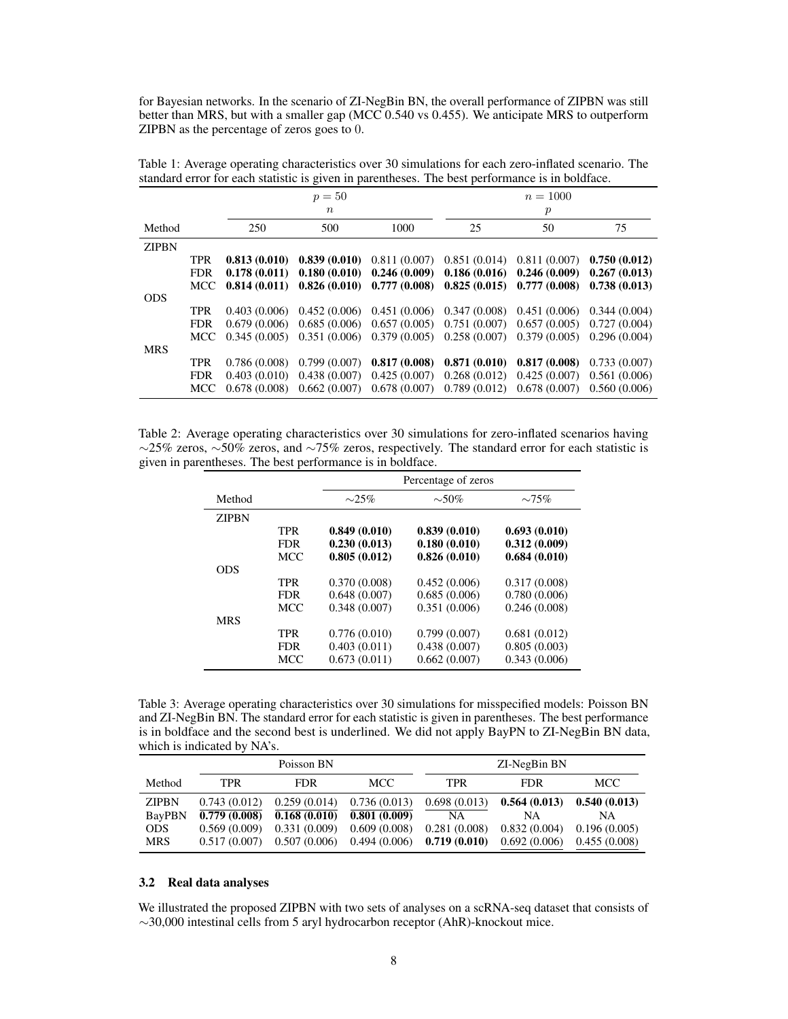for Bayesian networks. In the scenario of ZI-NegBin BN, the overall performance of ZIPBN was still better than MRS, but with a smaller gap (MCC 0.540 vs 0.455). We anticipate MRS to outperform ZIPBN as the percentage of zeros goes to 0.

| Table 1: Average operating characteristics over 30 simulations for each zero-inflated scenario. The |  |  |
|-----------------------------------------------------------------------------------------------------|--|--|
| standard error for each statistic is given in parentheses. The best performance is in boldface.     |  |  |

|              |            | $p=50$ |                  |                                                                                                          | $n = 1000$ |                  |    |  |
|--------------|------------|--------|------------------|----------------------------------------------------------------------------------------------------------|------------|------------------|----|--|
|              |            |        | $\boldsymbol{n}$ |                                                                                                          |            | $\boldsymbol{p}$ |    |  |
| Method       |            | 250    | 500              | 1000                                                                                                     | 25         | 50               | 75 |  |
| <b>ZIPBN</b> |            |        |                  |                                                                                                          |            |                  |    |  |
|              | <b>TPR</b> |        |                  | <b>0.813</b> (0.010) <b>0.839</b> (0.010) 0.811 (0.007) 0.851 (0.014) 0.811 (0.007) <b>0.750</b> (0.012) |            |                  |    |  |
|              | <b>FDR</b> |        |                  | $0.178(0.011)$ $0.180(0.010)$ $0.246(0.009)$ $0.186(0.016)$ $0.246(0.009)$ $0.267(0.013)$                |            |                  |    |  |
|              | MCC .      |        |                  | $0.814(0.011)$ $0.826(0.010)$ $0.777(0.008)$ $0.825(0.015)$ $0.777(0.008)$ $0.738(0.013)$                |            |                  |    |  |
| <b>ODS</b>   |            |        |                  |                                                                                                          |            |                  |    |  |
|              | <b>TPR</b> |        |                  | $0.403(0.006)$ $0.452(0.006)$ $0.451(0.006)$ $0.347(0.008)$ $0.451(0.006)$ $0.344(0.004)$                |            |                  |    |  |
|              | <b>FDR</b> |        |                  | $0.679(0.006)$ $0.685(0.006)$ $0.657(0.005)$ $0.751(0.007)$ $0.657(0.005)$ $0.727(0.004)$                |            |                  |    |  |
|              | MCC        |        |                  | $0.345(0.005)$ $0.351(0.006)$ $0.379(0.005)$ $0.258(0.007)$ $0.379(0.005)$ $0.296(0.004)$                |            |                  |    |  |
| <b>MRS</b>   |            |        |                  |                                                                                                          |            |                  |    |  |
|              | <b>TPR</b> |        |                  | $0.786(0.008)$ $0.799(0.007)$ $0.817(0.008)$ $0.871(0.010)$ $0.817(0.008)$ $0.733(0.007)$                |            |                  |    |  |
|              | <b>FDR</b> |        |                  | $0.403(0.010)$ $0.438(0.007)$ $0.425(0.007)$ $0.268(0.012)$ $0.425(0.007)$ $0.561(0.006)$                |            |                  |    |  |
|              | MCC.       |        |                  | $0.678(0.008)$ $0.662(0.007)$ $0.678(0.007)$ $0.789(0.012)$ $0.678(0.007)$ $0.560(0.006)$                |            |                  |    |  |

Table 2: Average operating characteristics over 30 simulations for zero-inflated scenarios having ~25% zeros,  $\sim$ 50% zeros, and ~75% zeros, respectively. The standard error for each statistic is given in parentheses. The best performance is in boldface.

|              |            | Percentage of zeros |              |              |  |
|--------------|------------|---------------------|--------------|--------------|--|
| Method       |            | $\sim$ 25%          | $\sim 50\%$  | $\sim 75\%$  |  |
| <b>ZIPBN</b> |            |                     |              |              |  |
|              | <b>TPR</b> | 0.849(0.010)        | 0.839(0.010) | 0.693(0.010) |  |
|              | <b>FDR</b> | 0.230(0.013)        | 0.180(0.010) | 0.312(0.009) |  |
|              | MCC.       | 0.805(0.012)        | 0.826(0.010) | 0.684(0.010) |  |
| <b>ODS</b>   |            |                     |              |              |  |
|              | <b>TPR</b> | 0.370(0.008)        | 0.452(0.006) | 0.317(0.008) |  |
|              | <b>FDR</b> | 0.648(0.007)        | 0.685(0.006) | 0.780(0.006) |  |
|              | <b>MCC</b> | 0.348(0.007)        | 0.351(0.006) | 0.246(0.008) |  |
| <b>MRS</b>   |            |                     |              |              |  |
|              | <b>TPR</b> | 0.776(0.010)        | 0.799(0.007) | 0.681(0.012) |  |
|              | <b>FDR</b> | 0.403(0.011)        | 0.438(0.007) | 0.805(0.003) |  |
|              | <b>MCC</b> | 0.673(0.011)        | 0.662(0.007) | 0.343(0.006) |  |

Table 3: Average operating characteristics over 30 simulations for misspecified models: Poisson BN and ZI-NegBin BN. The standard error for each statistic is given in parentheses. The best performance is in boldface and the second best is underlined. We did not apply BayPN to ZI-NegBin BN data, which is indicated by NA's.

| Poisson BN                                          |                                                              |                                                              | ZI-NegBin BN                                                 |                                                           |                                                    |                                                    |
|-----------------------------------------------------|--------------------------------------------------------------|--------------------------------------------------------------|--------------------------------------------------------------|-----------------------------------------------------------|----------------------------------------------------|----------------------------------------------------|
| Method                                              | <b>TPR</b>                                                   | FDR.                                                         | MCC.                                                         | <b>TPR</b>                                                | FDR.                                               | MCC.                                               |
| <b>ZIPBN</b><br><b>BayPBN</b><br>ODS.<br><b>MRS</b> | 0.743(0.012)<br>0.779(0.008)<br>0.569(0.009)<br>0.517(0.007) | 0.259(0.014)<br>0.168(0.010)<br>0.331(0.009)<br>0.507(0.006) | 0.736(0.013)<br>0.801(0.009)<br>0.609(0.008)<br>0.494(0.006) | 0.698(0.013)<br><b>NA</b><br>0.281(0.008)<br>0.719(0.010) | 0.564(0.013)<br>NA<br>0.832(0.004)<br>0.692(0.006) | 0.540(0.013)<br>NA<br>0.196(0.005)<br>0.455(0.008) |

### 3.2 Real data analyses

We illustrated the proposed ZIPBN with two sets of analyses on a scRNA-seq dataset that consists of  $\sim$ 30,000 intestinal cells from 5 aryl hydrocarbon receptor (AhR)-knockout mice.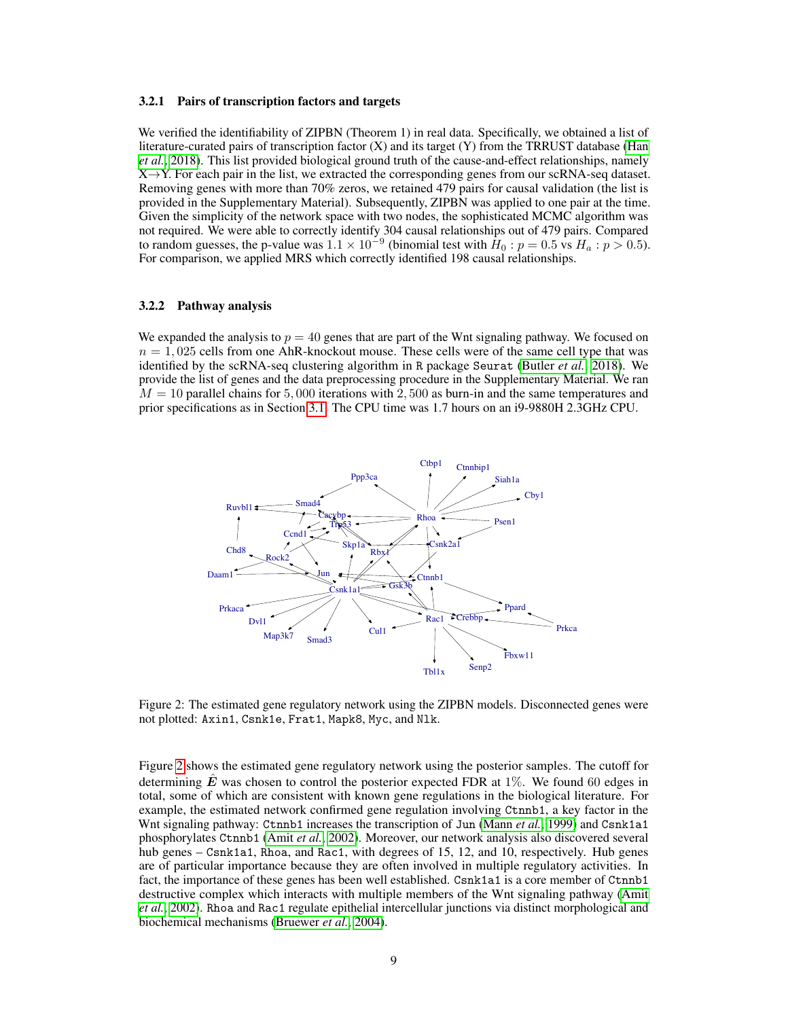#### 3.2.1 Pairs of transcription factors and targets

We verified the identifiability of ZIPBN (Theorem 1) in real data. Specifically, we obtained a list of literature-curated pairs of transcription factor  $(X)$  and its target  $(Y)$  from the TRRUST database (Han *et al.*, 2018). This list provided biological ground truth of the cause-and-effect relationships, namely  $X \rightarrow Y$ . For each pair in the list, we extracted the corresponding genes from our scRNA-seq dataset. Removing genes with more than 70% zeros, we retained 479 pairs for causal validation (the list is provided in the Supplementary Material). Subsequently, ZIPBN was applied to one pair at the time. Given the simplicity of the network space with two nodes, the sophisticated MCMC algorithm was not required. We were able to correctly identify 304 causal relationships out of 479 pairs. Compared to random guesses, the p-value was  $1.1 \times 10^{-9}$  (binomial test with  $H_0: p = 0.5$  vs  $H_a: p > 0.5$ ). For comparison, we applied MRS which correctly identified 198 causal relationships.

## 3.2.2 Pathway analysis

We expanded the analysis to  $p = 40$  genes that are part of the Wnt signaling pathway. We focused on  $n = 1,025$  cells from one AhR-knockout mouse. These cells were of the same cell type that was identified by the scRNA-seq clustering algorithm in R package Seurat (Butler *et al.*, 2018). We provide the list of genes and the data preprocessing procedure in the Supplementary Material. We ran *M* = 10 parallel chains for 5*,* 000 iterations with 2*,* 500 as burn-in and the same temperatures and prior specifications as in Section  $\overline{3.1}$ . The CPU time was 1.7 hours on an i9-9880H 2.3GHz CPU.



Figure 2: The estimated gene regulatory network using the ZIPBN models. Disconnected genes were not plotted: Axin1, Csnk1e, Frat1, Mapk8, Myc, and Nlk.

Figure  $2$  shows the estimated gene regulatory network using the posterior samples. The cutoff for determining  $E$  was chosen to control the posterior expected FDR at 1%. We found 60 edges in total, some of which are consistent with known gene regulations in the biological literature. For example, the estimated network confirmed gene regulation involving Ctnnb1, a key factor in the Wnt signaling pathway: Ctnnb1 increases the transcription of Jun (Mann *et al.*, 1999) and Csnk1a1 phosphorylates Ctnnb1 (Amit *et al.*, 2002). Moreover, our network analysis also discovered several hub genes – Csnk1a1, Rhoa, and Rac1, with degrees of 15, 12, and 10, respectively. Hub genes are of particular importance because they are often involved in multiple regulatory activities. In fact, the importance of these genes has been well established. Csnk1a1 is a core member of Ctnnb1 destructive complex which interacts with multiple members of the Wnt signaling pathway (Amit *et al.*, 2002). Rhoa and Rac1 regulate epithelial intercellular junctions via distinct morphological and biochemical mechanisms (Bruewer *et al.*, 2004).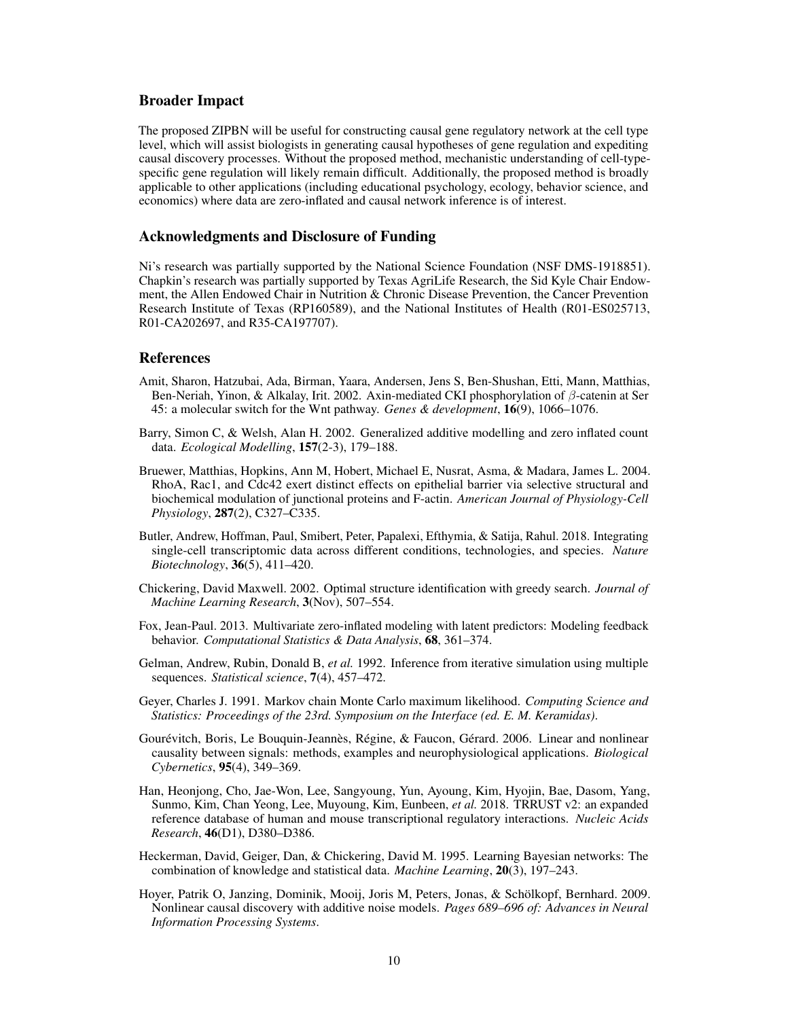## Broader Impact

The proposed ZIPBN will be useful for constructing causal gene regulatory network at the cell type level, which will assist biologists in generating causal hypotheses of gene regulation and expediting causal discovery processes. Without the proposed method, mechanistic understanding of cell-typespecific gene regulation will likely remain difficult. Additionally, the proposed method is broadly applicable to other applications (including educational psychology, ecology, behavior science, and economics) where data are zero-inflated and causal network inference is of interest.

## Acknowledgments and Disclosure of Funding

Ni's research was partially supported by the National Science Foundation (NSF DMS-1918851). Chapkin's research was partially supported by Texas AgriLife Research, the Sid Kyle Chair Endowment, the Allen Endowed Chair in Nutrition & Chronic Disease Prevention, the Cancer Prevention Research Institute of Texas (RP160589), and the National Institutes of Health (R01-ES025713, R01-CA202697, and R35-CA197707).

## References

- Amit, Sharon, Hatzubai, Ada, Birman, Yaara, Andersen, Jens S, Ben-Shushan, Etti, Mann, Matthias, Ben-Neriah, Yinon, & Alkalay, Irit. 2002. Axin-mediated CKI phosphorylation of  $\beta$ -catenin at Ser 45: a molecular switch for the Wnt pathway. *Genes & development*, 16(9), 1066–1076.
- Barry, Simon C, & Welsh, Alan H. 2002. Generalized additive modelling and zero inflated count data. *Ecological Modelling*, 157(2-3), 179–188.
- Bruewer, Matthias, Hopkins, Ann M, Hobert, Michael E, Nusrat, Asma, & Madara, James L. 2004. RhoA, Rac1, and Cdc42 exert distinct effects on epithelial barrier via selective structural and biochemical modulation of junctional proteins and F-actin. *American Journal of Physiology-Cell Physiology*, 287(2), C327–C335.
- Butler, Andrew, Hoffman, Paul, Smibert, Peter, Papalexi, Efthymia, & Satija, Rahul. 2018. Integrating single-cell transcriptomic data across different conditions, technologies, and species. *Nature Biotechnology*, 36(5), 411–420.
- Chickering, David Maxwell. 2002. Optimal structure identification with greedy search. *Journal of Machine Learning Research*, 3(Nov), 507–554.
- Fox, Jean-Paul. 2013. Multivariate zero-inflated modeling with latent predictors: Modeling feedback behavior. *Computational Statistics & Data Analysis*, 68, 361–374.
- Gelman, Andrew, Rubin, Donald B, *et al.* 1992. Inference from iterative simulation using multiple sequences. *Statistical science*, 7(4), 457–472.
- Geyer, Charles J. 1991. Markov chain Monte Carlo maximum likelihood. *Computing Science and Statistics: Proceedings of the 23rd. Symposium on the Interface (ed. E. M. Keramidas)*.
- Gourévitch, Boris, Le Bouquin-Jeannès, Régine, & Faucon, Gérard. 2006. Linear and nonlinear causality between signals: methods, examples and neurophysiological applications. *Biological Cybernetics*, 95(4), 349–369.
- Han, Heonjong, Cho, Jae-Won, Lee, Sangyoung, Yun, Ayoung, Kim, Hyojin, Bae, Dasom, Yang, Sunmo, Kim, Chan Yeong, Lee, Muyoung, Kim, Eunbeen, *et al.* 2018. TRRUST v2: an expanded reference database of human and mouse transcriptional regulatory interactions. *Nucleic Acids Research*, 46(D1), D380–D386.
- Heckerman, David, Geiger, Dan, & Chickering, David M. 1995. Learning Bayesian networks: The combination of knowledge and statistical data. *Machine Learning*, 20(3), 197–243.
- Hoyer, Patrik O, Janzing, Dominik, Mooij, Joris M, Peters, Jonas, & Schölkopf, Bernhard. 2009. Nonlinear causal discovery with additive noise models. *Pages 689–696 of: Advances in Neural Information Processing Systems*.